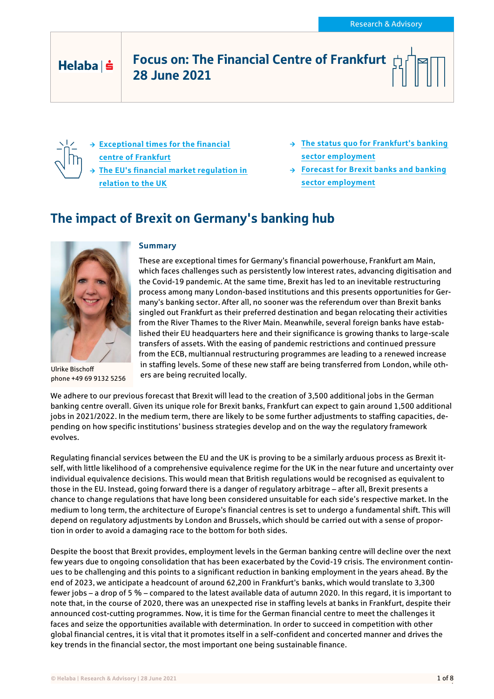# Helaba | s

## Focus on: The Financial Centre of Frankfurt 28 June 2021

- **[Exceptional times for the financial](#page-1-0)  [centre of Frankfurt](#page-1-0) [The EU's financial market regulation in](#page-2-0)  [relation to the UK](#page-2-0)**
- **[The status quo for Frankfurt's banking](#page-3-0)  [sector employment](#page-3-0)**
- **[Forecast for Brexit banks and banking](#page-5-0)  [sector employment](#page-5-0)**

# The impact of Brexit on Germany's banking hub



Ulrike Bischoff phone +49 69 9132 5256

#### **Summary**

These are exceptional times for Germany's financial powerhouse, Frankfurt am Main, which faces challenges such as persistently low interest rates, advancing digitisation and the Covid-19 pandemic. At the same time, Brexit has led to an inevitable restructuring process among many London-based institutions and this presents opportunities for Germany's banking sector. After all, no sooner was the referendum over than Brexit banks singled out Frankfurt as their preferred destination and began relocating their activities from the River Thames to the River Main. Meanwhile, several foreign banks have established their EU headquarters here and their significance is growing thanks to large-scale transfers of assets. With the easing of pandemic restrictions and continued pressure from the ECB, multiannual restructuring programmes are leading to a renewed increase in staffing levels. Some of these new staff are being transferred from London, while others are being recruited locally.

We adhere to our previous forecast that Brexit will lead to the creation of 3,500 additional jobs in the German banking centre overall. Given its unique role for Brexit banks, Frankfurt can expect to gain around 1,500 additional jobs in 2021/2022. In the medium term, there are likely to be some further adjustments to staffing capacities, depending on how specific institutions' business strategies develop and on the way the regulatory framework evolves.

Regulating financial services between the EU and the UK is proving to be a similarly arduous process as Brexit itself, with little likelihood of a comprehensive equivalence regime for the UK in the near future and uncertainty over individual equivalence decisions. This would mean that British regulations would be recognised as equivalent to those in the EU. Instead, going forward there is a danger of regulatory arbitrage – after all, Brexit presents a chance to change regulations that have long been considered unsuitable for each side's respective market. In the medium to long term, the architecture of Europe's financial centres is set to undergo a fundamental shift. This will depend on regulatory adjustments by London and Brussels, which should be carried out with a sense of proportion in order to avoid a damaging race to the bottom for both sides.

Despite the boost that Brexit provides, employment levels in the German banking centre will decline over the next few years due to ongoing consolidation that has been exacerbated by the Covid-19 crisis. The environment continues to be challenging and this points to a significant reduction in banking employment in the years ahead. By the end of 2023, we anticipate a headcount of around 62,200 in Frankfurt's banks, which would translate to 3,300 fewer jobs – a drop of 5 % – compared to the latest available data of autumn 2020. In this regard, it is important to note that, in the course of 2020, there was an unexpected rise in staffing levels at banks in Frankfurt, despite their announced cost-cutting programmes. Now, it is time for the German financial centre to meet the challenges it faces and seize the opportunities available with determination. In order to succeed in competition with other global financial centres, it is vital that it promotes itself in a self-confident and concerted manner and drives the key trends in the financial sector, the most important one being sustainable finance.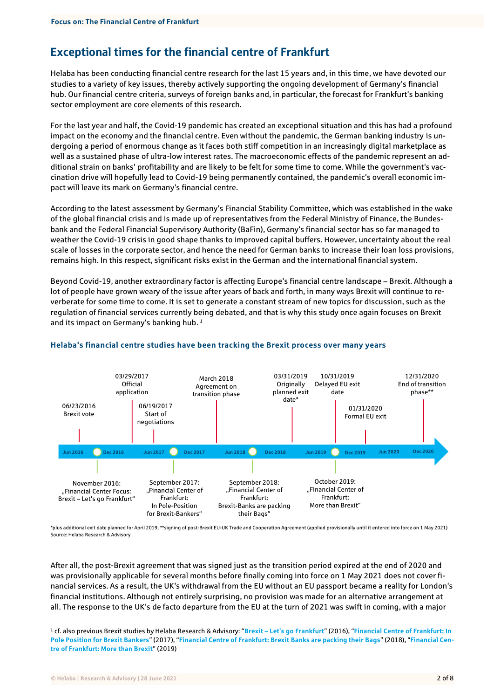## <span id="page-1-0"></span>Exceptional times for the financial centre of Frankfurt

Helaba has been conducting financial centre research for the last 15 years and, in this time, we have devoted our studies to a variety of key issues, thereby actively supporting the ongoing development of Germany's financial hub. Our financial centre criteria, surveys of foreign banks and, in particular, the forecast for Frankfurt's banking sector employment are core elements of this research.

For the last year and half, the Covid-19 pandemic has created an exceptional situation and this has had a profound impact on the economy and the financial centre. Even without the pandemic, the German banking industry is undergoing a period of enormous change as it faces both stiff competition in an increasingly digital marketplace as well as a sustained phase of ultra-low interest rates. The macroeconomic effects of the pandemic represent an additional strain on banks' profitability and are likely to be felt for some time to come. While the government's vaccination drive will hopefully lead to Covid-19 being permanently contained, the pandemic's overall economic impact will leave its mark on Germany's financial centre.

According to the latest assessment by Germany's Financial Stability Committee, which was established in the wake of the global financial crisis and is made up of representatives from the Federal Ministry of Finance, the Bundesbank and the Federal Financial Supervisory Authority (BaFin), Germany's financial sector has so far managed to weather the Covid-19 crisis in good shape thanks to improved capital buffers. However, uncertainty about the real scale of losses in the corporate sector, and hence the need for German banks to increase their loan loss provisions, remains high. In this respect, significant risks exist in the German and the international financial system.

Beyond Covid-19, another extraordinary factor is affecting Europe's financial centre landscape – Brexit. Although a lot of people have grown weary of the issue after years of back and forth, in many ways Brexit will continue to reverberate for some time to come. It is set to generate a constant stream of new topics for discussion, such as the regulation of financial services currently being debated, and that is why this study once again focuses on Brexit and its impact on Germany's banking hub. *1*



#### **Helaba's financial centre studies have been tracking the Brexit process over many years**

\*plus additional exit date planned for April 2019, \*\*signing of post-Brexit EU-UK Trade and Cooperation Agreement (applied provisionally until it entered into force on 1 May 2021) Source: Helaba Research & Advisory

After all, the post-Brexit agreement that was signed just as the transition period expired at the end of 2020 and was provisionally applicable for several months before finally coming into force on 1 May 2021 does not cover financial services. As a result, the UK's withdrawal from the EU without an EU passport became a reality for London's financial institutions. Although not entirely surprising, no provision was made for an alternative arrangement at all. The response to the UK's de facto departure from the EU at the turn of 2021 was swift in coming, with a major

<sup>1</sup> cf. also previous Brexit studies by Helaba Research & Advisory: "**Brexit – [Let's go Frankfurt](https://www.helaba.de/blueprint/servlet/resource/blob/docs/407460/ec93e042e5c3bbd7054e77121d7436d7/finanzplatz-fokus-20161103-data.pdf)**" (2016), "**[Financial Centre of Frankfurt: In](https://www.helaba.de/blueprint/servlet/resource/blob/docs/436938/3d1d7f07336a8a2748a2311f64716db4/financial-centre-focus-20170908-data.pdf)  [Pole Position for Brexit Bankers](https://www.helaba.de/blueprint/servlet/resource/blob/docs/436938/3d1d7f07336a8a2748a2311f64716db4/financial-centre-focus-20170908-data.pdf)**" (2017), "**[Financial Centre of Frankfurt: Brexit Banks are packing their Bags](https://www.helaba.de/blueprint/servlet/resource/blob/docs/476122/13ef3a9170b6a22357edbd62acf168fe/financial-centre-focus-20180926-data.pdf)**" (2018), "**[Financial Cen](hhttps://www.helaba.de/blueprint/servlet/resource/blob/docs/506102/9635f3d5cd32e7683a62a4d4e916dbdb/financial-centre-focus-more-than-brexit-20191001-data.pdf)[tre of Frankfurt: More than Brexit](hhttps://www.helaba.de/blueprint/servlet/resource/blob/docs/506102/9635f3d5cd32e7683a62a4d4e916dbdb/financial-centre-focus-more-than-brexit-20191001-data.pdf)**" (2019)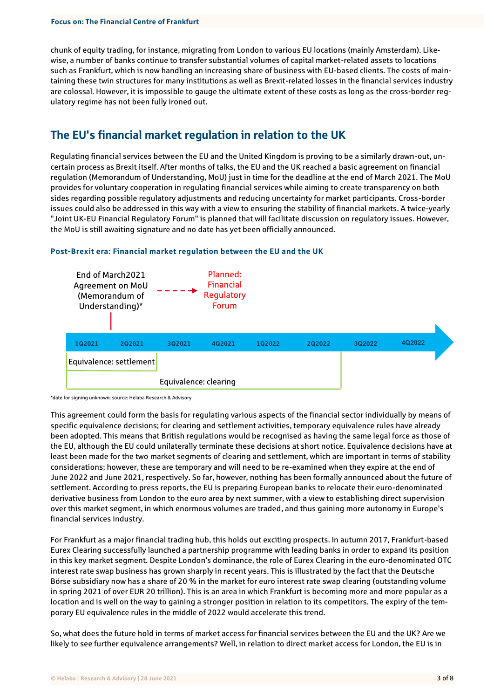chunk of equity trading, for instance, migrating from London to various EU locations (mainly Amsterdam). Likewise, a number of banks continue to transfer substantial volumes of capital market-related assets to locations such as Frankfurt, which is now handling an increasing share of business with EU-based clients. The costs of maintaining these twin structures for many institutions as well as Brexit-related losses in the financial services industry are colossal. However, it is impossible to gauge the ultimate extent of these costs as long as the cross-border regulatory regime has not been fully ironed out.

## <span id="page-2-0"></span>The EU's financial market regulation in relation to the UK

Regulating financial services between the EU and the United Kingdom is proving to be a similarly drawn-out, uncertain process as Brexit itself. After months of talks, the EU and the UK reached a basic agreement on financial regulation (Memorandum of Understanding, MoU) just in time for the deadline at the end of March 2021. The MoU provides for voluntary cooperation in regulating financial services while aiming to create transparency on both sides regarding possible regulatory adjustments and reducing uncertainty for market participants. Cross-border issues could also be addressed in this way with a view to ensuring the stability of financial markets. A twice-yearly "Joint UK-EU Financial Regulatory Forum" is planned that will facilitate discussion on regulatory issues. However, the MoU is still awaiting signature and no date has yet been officially announced.



#### **Post-Brexit era: Financial market regulation between the EU and the UK**

\*date for signing unknown; source: Helaba Research & Advisory

This agreement could form the basis for regulating various aspects of the financial sector individually by means of specific equivalence decisions; for clearing and settlement activities, temporary equivalence rules have already been adopted. This means that British regulations would be recognised as having the same legal force as those of the EU, although the EU could unilaterally terminate these decisions at short notice. Equivalence decisions have at least been made for the two market segments of clearing and settlement, which are important in terms of stability considerations; however, these are temporary and will need to be re-examined when they expire at the end of June 2022 and June 2021, respectively. So far, however, nothing has been formally announced about the future of settlement. According to press reports, the EU is preparing European banks to relocate their euro-denominated derivative business from London to the euro area by next summer, with a view to establishing direct supervision over this market segment, in which enormous volumes are traded, and thus gaining more autonomy in Europe's financial services industry.

For Frankfurt as a major financial trading hub, this holds out exciting prospects. In autumn 2017, Frankfurt-based Eurex Clearing successfully launched a partnership programme with leading banks in order to expand its position in this key market segment. Despite London's dominance, the role of Eurex Clearing in the euro-denominated OTC interest rate swap business has grown sharply in recent years. This is illustrated by the fact that the Deutsche Börse subsidiary now has a share of 20 % in the market for euro interest rate swap clearing (outstanding volume in spring 2021 of over EUR 20 trillion). This is an area in which Frankfurt is becoming more and more popular as a location and is well on the way to gaining a stronger position in relation to its competitors. The expiry of the temporary EU equivalence rules in the middle of 2022 would accelerate this trend.

So, what does the future hold in terms of market access for financial services between the EU and the UK? Are we likely to see further equivalence arrangements? Well, in relation to direct market access for London, the EU is in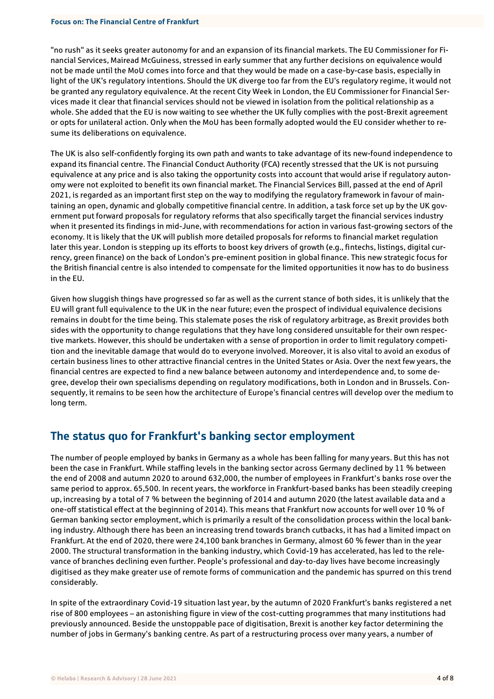"no rush" as it seeks greater autonomy for and an expansion of its financial markets. The EU Commissioner for Financial Services, Mairead McGuiness, stressed in early summer that any further decisions on equivalence would not be made until the MoU comes into force and that they would be made on a case-by-case basis, especially in light of the UK's regulatory intentions. Should the UK diverge too far from the EU's regulatory regime, it would not be granted any regulatory equivalence. At the recent City Week in London, the EU Commissioner for Financial Services made it clear that financial services should not be viewed in isolation from the political relationship as a whole. She added that the EU is now waiting to see whether the UK fully complies with the post-Brexit agreement or opts for unilateral action. Only when the MoU has been formally adopted would the EU consider whether to resume its deliberations on equivalence.

The UK is also self-confidently forging its own path and wants to take advantage of its new-found independence to expand its financial centre. The Financial Conduct Authority (FCA) recently stressed that the UK is not pursuing equivalence at any price and is also taking the opportunity costs into account that would arise if regulatory autonomy were not exploited to benefit its own financial market. The Financial Services Bill, passed at the end of April 2021, is regarded as an important first step on the way to modifying the regulatory framework in favour of maintaining an open, dynamic and globally competitive financial centre. In addition, a task force set up by the UK government put forward proposals for regulatory reforms that also specifically target the financial services industry when it presented its findings in mid-June, with recommendations for action in various fast-growing sectors of the economy. It is likely that the UK will publish more detailed proposals for reforms to financial market regulation later this year. London is stepping up its efforts to boost key drivers of growth (e.g., fintechs, listings, digital currency, green finance) on the back of London's pre-eminent position in global finance. This new strategic focus for the British financial centre is also intended to compensate for the limited opportunities it now has to do business in the EU.

Given how sluggish things have progressed so far as well as the current stance of both sides, it is unlikely that the EU will grant full equivalence to the UK in the near future; even the prospect of individual equivalence decisions remains in doubt for the time being. This stalemate poses the risk of regulatory arbitrage, as Brexit provides both sides with the opportunity to change regulations that they have long considered unsuitable for their own respective markets. However, this should be undertaken with a sense of proportion in order to limit regulatory competition and the inevitable damage that would do to everyone involved. Moreover, it is also vital to avoid an exodus of certain business lines to other attractive financial centres in the United States or Asia. Over the next few years, the financial centres are expected to find a new balance between autonomy and interdependence and, to some degree, develop their own specialisms depending on regulatory modifications, both in London and in Brussels. Consequently, it remains to be seen how the architecture of Europe's financial centres will develop over the medium to long term.

### <span id="page-3-0"></span>The status quo for Frankfurt's banking sector employment

The number of people employed by banks in Germany as a whole has been falling for many years. But this has not been the case in Frankfurt. While staffing levels in the banking sector across Germany declined by 11 % between the end of 2008 and autumn 2020 to around 632,000, the number of employees in Frankfurt's banks rose over the same period to approx. 65,500. In recent years, the workforce in Frankfurt-based banks has been steadily creeping up, increasing by a total of 7 % between the beginning of 2014 and autumn 2020 (the latest available data and a one-off statistical effect at the beginning of 2014). This means that Frankfurt now accounts for well over 10 % of German banking sector employment, which is primarily a result of the consolidation process within the local banking industry. Although there has been an increasing trend towards branch cutbacks, it has had a limited impact on Frankfurt. At the end of 2020, there were 24,100 bank branches in Germany, almost 60 % fewer than in the year 2000. The structural transformation in the banking industry, which Covid-19 has accelerated, has led to the relevance of branches declining even further. People's professional and day-to-day lives have become increasingly digitised as they make greater use of remote forms of communication and the pandemic has spurred on this trend considerably.

In spite of the extraordinary Covid-19 situation last year, by the autumn of 2020 Frankfurt's banks registered a net rise of 800 employees – an astonishing figure in view of the cost-cutting programmes that many institutions had previously announced. Beside the unstoppable pace of digitisation, Brexit is another key factor determining the number of jobs in Germany's banking centre. As part of a restructuring process over many years, a number of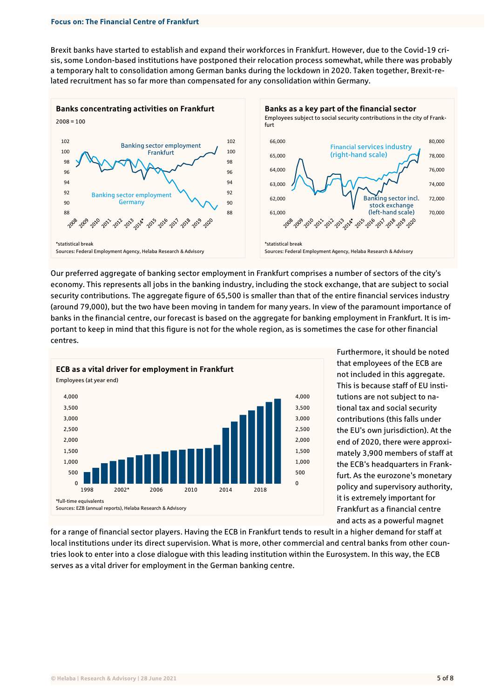Brexit banks have started to establish and expand their workforces in Frankfurt. However, due to the Covid-19 crisis, some London-based institutions have postponed their relocation process somewhat, while there was probably a temporary halt to consolidation among German banks during the lockdown in 2020. Taken together, Brexit-related recruitment has so far more than compensated for any consolidation within Germany.



Our preferred aggregate of banking sector employment in Frankfurt comprises a number of sectors of the city's economy. This represents all jobs in the banking industry, including the stock exchange, that are subject to social security contributions. The aggregate figure of 65,500 is smaller than that of the entire financial services industry (around 79,000), but the two have been moving in tandem for many years. In view of the paramount importance of banks in the financial centre, our forecast is based on the aggregate for banking employment in Frankfurt. It is important to keep in mind that this figure is not for the whole region, as is sometimes the case for other financial centres.



Furthermore, it should be noted that employees of the ECB are not included in this aggregate. This is because staff of EU institutions are not subject to national tax and social security contributions (this falls under the EU's own jurisdiction). At the end of 2020, there were approximately 3,900 members of staff at the ECB's headquarters in Frankfurt. As the eurozone's monetary policy and supervisory authority, it is extremely important for Frankfurt as a financial centre and acts as a powerful magnet

for a range of financial sector players. Having the ECB in Frankfurt tends to result in a higher demand for staff at local institutions under its direct supervision. What is more, other commercial and central banks from other countries look to enter into a close dialogue with this leading institution within the Eurosystem. In this way, the ECB serves as a vital driver for employment in the German banking centre.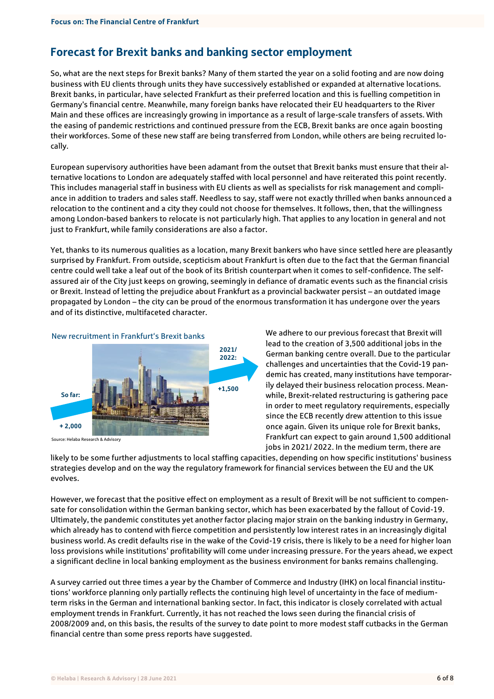## <span id="page-5-0"></span>Forecast for Brexit banks and banking sector employment

So, what are the next steps for Brexit banks? Many of them started the year on a solid footing and are now doing business with EU clients through units they have successively established or expanded at alternative locations. Brexit banks, in particular, have selected Frankfurt as their preferred location and this is fuelling competition in Germany's financial centre. Meanwhile, many foreign banks have relocated their EU headquarters to the River Main and these offices are increasingly growing in importance as a result of large-scale transfers of assets. With the easing of pandemic restrictions and continued pressure from the ECB, Brexit banks are once again boosting their workforces. Some of these new staff are being transferred from London, while others are being recruited locally.

European supervisory authorities have been adamant from the outset that Brexit banks must ensure that their alternative locations to London are adequately staffed with local personnel and have reiterated this point recently. This includes managerial staff in business with EU clients as well as specialists for risk management and compliance in addition to traders and sales staff. Needless to say, staff were not exactly thrilled when banks announced a relocation to the continent and a city they could not choose for themselves. It follows, then, that the willingness among London-based bankers to relocate is not particularly high. That applies to any location in general and not just to Frankfurt, while family considerations are also a factor.

Yet, thanks to its numerous qualities as a location, many Brexit bankers who have since settled here are pleasantly surprised by Frankfurt. From outside, scepticism about Frankfurt is often due to the fact that the German financial centre could well take a leaf out of the book of its British counterpart when it comes to self-confidence. The selfassured air of the City just keeps on growing, seemingly in defiance of dramatic events such as the financial crisis or Brexit. Instead of letting the prejudice about Frankfurt as a provincial backwater persist – an outdated image propagated by London – the city can be proud of the enormous transformation it has undergone over the years and of its distinctive, multifaceted character.



Source: Helaba Research & Advisory

We adhere to our previous forecast that Brexit will lead to the creation of 3,500 additional jobs in the German banking centre overall. Due to the particular challenges and uncertainties that the Covid-19 pandemic has created, many institutions have temporarily delayed their business relocation process. Meanwhile, Brexit-related restructuring is gathering pace in order to meet regulatory requirements, especially since the ECB recently drew attention to this issue once again. Given its unique role for Brexit banks, Frankfurt can expect to gain around 1,500 additional jobs in 2021/ 2022. In the medium term, there are

likely to be some further adjustments to local staffing capacities, depending on how specific institutions' business strategies develop and on the way the regulatory framework for financial services between the EU and the UK evolves.

However, we forecast that the positive effect on employment as a result of Brexit will be not sufficient to compensate for consolidation within the German banking sector, which has been exacerbated by the fallout of Covid-19. Ultimately, the pandemic constitutes yet another factor placing major strain on the banking industry in Germany, which already has to contend with fierce competition and persistently low interest rates in an increasingly digital business world. As credit defaults rise in the wake of the Covid-19 crisis, there is likely to be a need for higher loan loss provisions while institutions' profitability will come under increasing pressure. For the years ahead, we expect a significant decline in local banking employment as the business environment for banks remains challenging.

A survey carried out three times a year by the Chamber of Commerce and Industry (IHK) on local financial institutions' workforce planning only partially reflects the continuing high level of uncertainty in the face of mediumterm risks in the German and international banking sector. In fact, this indicator is closely correlated with actual employment trends in Frankfurt. Currently, it has not reached the lows seen during the financial crisis of 2008/2009 and, on this basis, the results of the survey to date point to more modest staff cutbacks in the German financial centre than some press reports have suggested.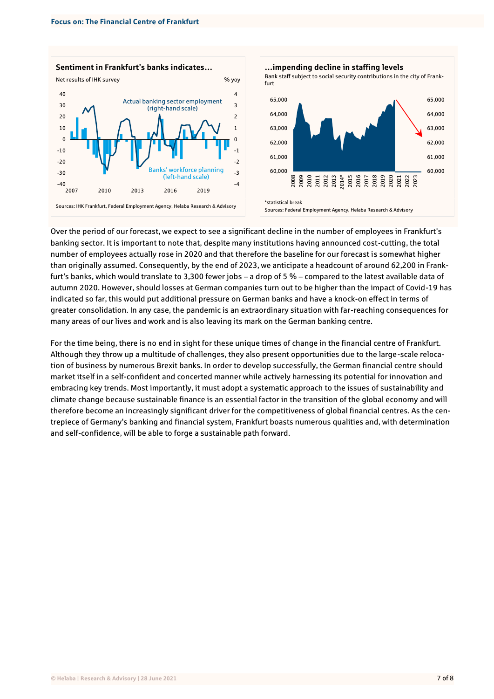



Over the period of our forecast, we expect to see a significant decline in the number of employees in Frankfurt's banking sector. It is important to note that, despite many institutions having announced cost-cutting, the total number of employees actually rose in 2020 and that therefore the baseline for our forecast is somewhat higher than originally assumed. Consequently, by the end of 2023, we anticipate a headcount of around 62,200 in Frankfurt's banks, which would translate to 3,300 fewer jobs – a drop of 5 % – compared to the latest available data of autumn 2020. However, should losses at German companies turn out to be higher than the impact of Covid-19 has indicated so far, this would put additional pressure on German banks and have a knock-on effect in terms of greater consolidation. In any case, the pandemic is an extraordinary situation with far-reaching consequences for many areas of our lives and work and is also leaving its mark on the German banking centre.

For the time being, there is no end in sight for these unique times of change in the financial centre of Frankfurt. Although they throw up a multitude of challenges, they also present opportunities due to the large-scale relocation of business by numerous Brexit banks. In order to develop successfully, the German financial centre should market itself in a self-confident and concerted manner while actively harnessing its potential for innovation and embracing key trends. Most importantly, it must adopt a systematic approach to the issues of sustainability and climate change because sustainable finance is an essential factor in the transition of the global economy and will therefore become an increasingly significant driver for the competitiveness of global financial centres. As the centrepiece of Germany's banking and financial system, Frankfurt boasts numerous qualities and, with determination and self-confidence, will be able to forge a sustainable path forward.